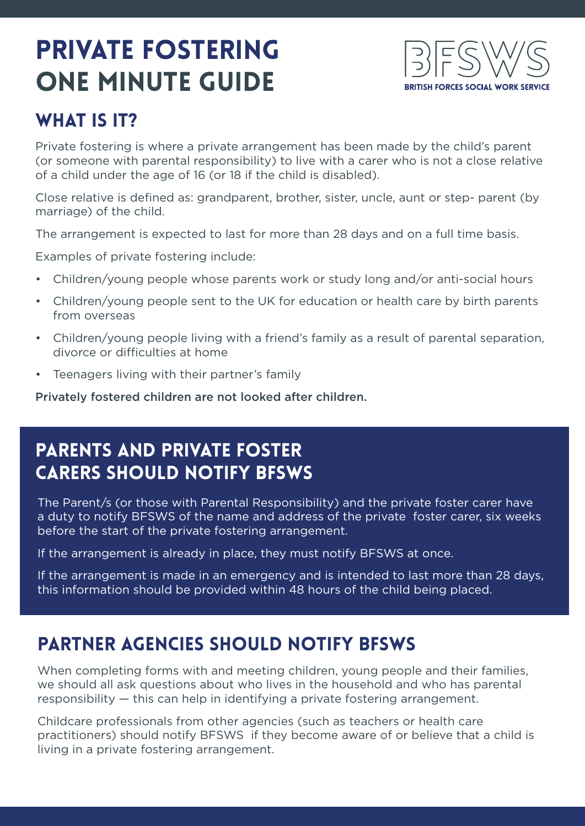# private fostering ONE MINUTE GUIDE



### WHAT IS IT?

Private fostering is where a private arrangement has been made by the child's parent (or someone with parental responsibility) to live with a carer who is not a close relative of a child under the age of 16 (or 18 if the child is disabled).

Close relative is defined as: grandparent, brother, sister, uncle, aunt or step- parent (by marriage) of the child.

The arrangement is expected to last for more than 28 days and on a full time basis.

Examples of private fostering include:

- Children/young people whose parents work or study long and/or anti-social hours
- Children/young people sent to the UK for education or health care by birth parents from overseas
- Children/young people living with a friend's family as a result of parental separation, divorce or difficulties at home
- Teenagers living with their partner's family

Privately fostered children are not looked after children.

### Parents and private foster carers should notify BFSWS

The Parent/s (or those with Parental Responsibility) and the private foster carer have a duty to notify BFSWS of the name and address of the private foster carer, six weeks before the start of the private fostering arrangement.

If the arrangement is already in place, they must notify BFSWS at once.

If the arrangement is made in an emergency and is intended to last more than 28 days, this information should be provided within 48 hours of the child being placed.

### Partner agencies should notify BFSWS

When completing forms with and meeting children, young people and their families, we should all ask questions about who lives in the household and who has parental responsibility — this can help in identifying a private fostering arrangement.

Childcare professionals from other agencies (such as teachers or health care practitioners) should notify BFSWS if they become aware of or believe that a child is living in a private fostering arrangement.